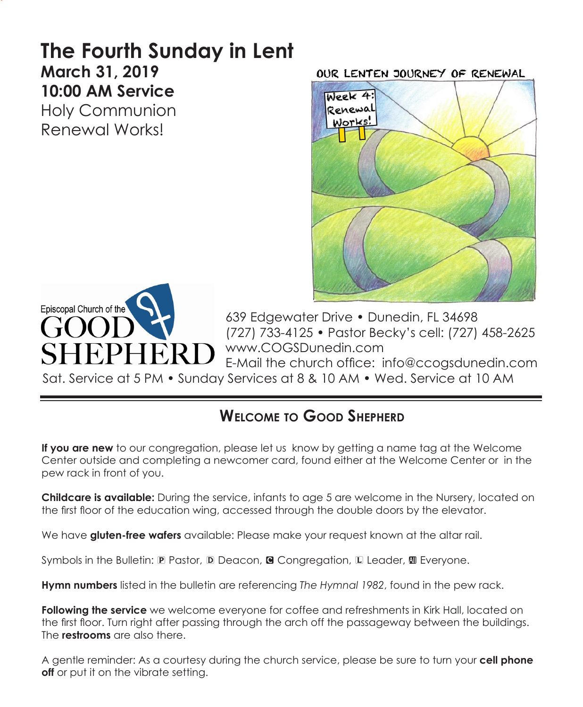# **The Fourth Sunday in Lent March 31, 2019 10:00 AM Service**  Holy Communion

Renewal Works!

OUR LENTEN JOURNEY OF RENEWAL





639 Edgewater Drive • Dunedin, FL 34698 (727) 733-4125 • Pastor Becky's cell: (727) 458-2625 www.COGSDunedin.com E-Mail the church office: info@ccogsdunedin.com

Sat. Service at 5 PM • Sunday Services at 8 & 10 AM • Wed. Service at 10 AM

# **Welcome to Good Shepherd**

**If you are new** to our congregation, please let us know by getting a name tag at the Welcome Center outside and completing a newcomer card, found either at the Welcome Center or in the pew rack in front of you.

**Childcare is available:** During the service, infants to age 5 are welcome in the Nursery, located on the first floor of the education wing, accessed through the double doors by the elevator.

We have **gluten-free wafers** available: Please make your request known at the altar rail.

Symbols in the Bulletin:  $\mathbb P$  Pastor,  $\mathbb D$  Deacon, **G** Congregation,  $\mathbb L$  Leader,  $\mathbb D$  Everyone.

**Hymn numbers** listed in the bulletin are referencing *The Hymnal 1982*, found in the pew rack.

**Following the service** we welcome everyone for coffee and refreshments in Kirk Hall, located on the first floor. Turn right after passing through the arch off the passageway between the buildings. The **restrooms** are also there.

A gentle reminder: As a courtesy during the church service, please be sure to turn your **cell phone off** or put it on the vibrate setting.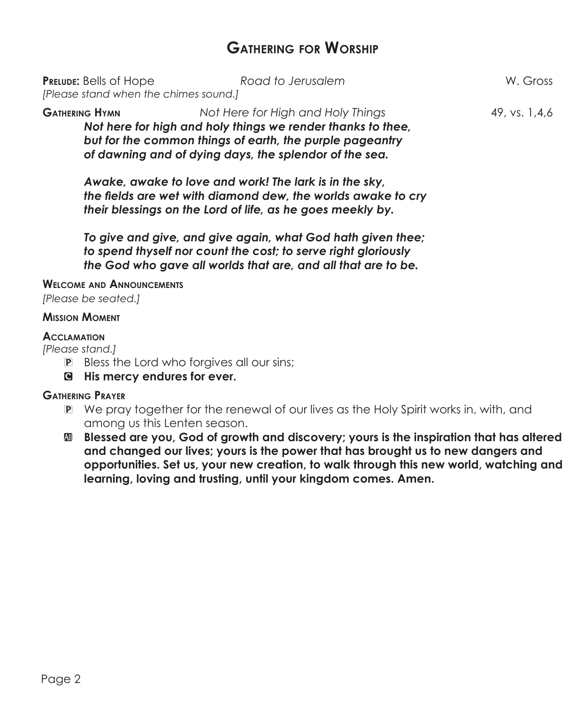# **Gathering for Worship**

| <b>PRELUDE:</b> Bells of Hope<br>[Please stand when the chimes sound.]                                                                                                                                                                          | Road to Jerusalem | W. Gross      |
|-------------------------------------------------------------------------------------------------------------------------------------------------------------------------------------------------------------------------------------------------|-------------------|---------------|
| Not Here for High and Holy Things<br><b>GATHERING HYMN</b><br>Not here for high and holy things we render thanks to thee,<br>but for the common things of earth, the purple pageantry<br>of dawning and of dying days, the splendor of the sea. |                   | 49, vs. 1,4,6 |

*Awake, awake to love and work! The lark is in the sky, the fields are wet with diamond dew, the worlds awake to cry their blessings on the Lord of life, as he goes meekly by.*

*To give and give, and give again, what God hath given thee; to spend thyself nor count the cost; to serve right gloriously the God who gave all worlds that are, and all that are to be.*

#### **Welcome and Announcements**

*[Please be seated.]*

### **Mission Moment**

## **Acclamation**

*[Please stand.]*

- **P** Bless the Lord who forgives all our sins;
- C **His mercy endures for ever.**

## **Gathering Prayer**

- P We pray together for the renewal of our lives as the Holy Spirit works in, with, and among us this Lenten season.
- a **Blessed are you, God of growth and discovery; yours is the inspiration that has altered and changed our lives; yours is the power that has brought us to new dangers and opportunities. Set us, your new creation, to walk through this new world, watching and learning, loving and trusting, until your kingdom comes. Amen.**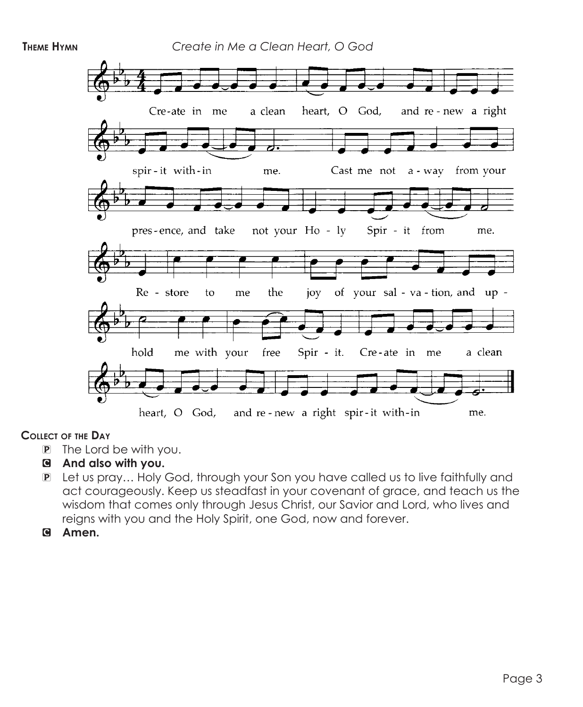

## **Collect of the Day**

- P The Lord be with you.
- C **And also with you.**
- P Let us pray… Holy God, through your Son you have called us to live faithfully and act courageously. Keep us steadfast in your covenant of grace, and teach us the wisdom that comes only through Jesus Christ, our Savior and Lord, who lives and reigns with you and the Holy Spirit, one God, now and forever.
- C **Amen.**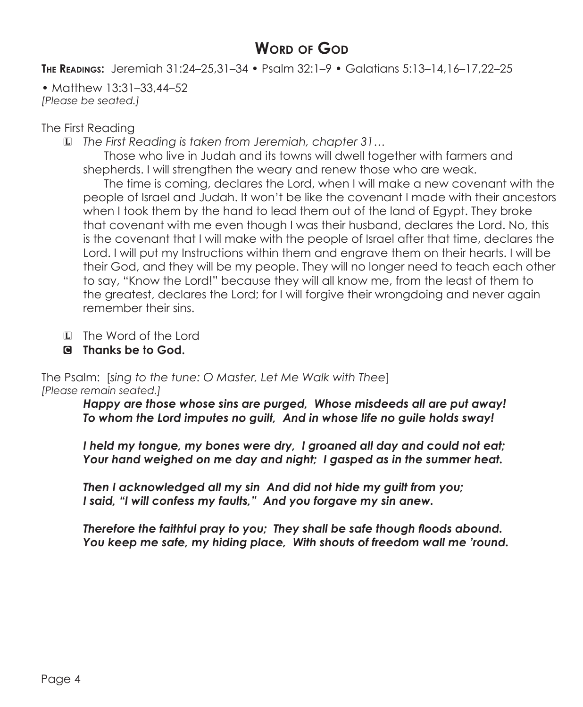# **WORD OF GOD**

**The Readings:** Jeremiah 31:24–25,31–34 • Psalm 32:1–9 • Galatians 5:13–14,16–17,22–25

• Matthew 13:31–33,44–52 *[Please be seated.]*

# The First Reading

L *The First Reading is taken from Jeremiah, chapter 31…*

Those who live in Judah and its towns will dwell together with farmers and shepherds. I will strengthen the weary and renew those who are weak.

The time is coming, declares the Lord, when I will make a new covenant with the people of Israel and Judah. It won't be like the covenant I made with their ancestors when I took them by the hand to lead them out of the land of Egypt. They broke that covenant with me even though I was their husband, declares the Lord. No, this is the covenant that I will make with the people of Israel after that time, declares the Lord. I will put my Instructions within them and engrave them on their hearts. I will be their God, and they will be my people. They will no longer need to teach each other to say, "Know the Lord!" because they will all know me, from the least of them to the greatest, declares the Lord; for I will forgive their wrongdoing and never again remember their sins.

- L The Word of the Lord
- C **Thanks be to God.**

The Psalm: [*sing to the tune: O Master, Let Me Walk with Thee*] *[Please remain seated.]*

> *Happy are those whose sins are purged, Whose misdeeds all are put away! To whom the Lord imputes no guilt, And in whose life no guile holds sway!*

> *I held my tongue, my bones were dry, I groaned all day and could not eat; Your hand weighed on me day and night; I gasped as in the summer heat.*

*Then I acknowledged all my sin And did not hide my guilt from you; I said, "I will confess my faults," And you forgave my sin anew.*

*Therefore the faithful pray to you; They shall be safe though floods abound. You keep me safe, my hiding place, With shouts of freedom wall me 'round.*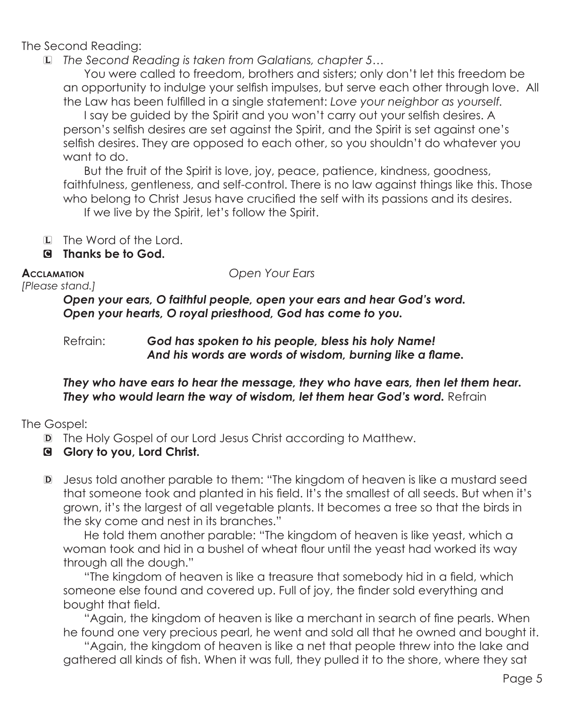The Second Reading:

L *The Second Reading is taken from Galatians, chapter 5…*

 You were called to freedom, brothers and sisters; only don't let this freedom be an opportunity to indulge your selfish impulses, but serve each other through love. All the Law has been fulfilled in a single statement: *Love your neighbor as yourself.*

I say be guided by the Spirit and you won't carry out your selfish desires. A person's selfish desires are set against the Spirit, and the Spirit is set against one's selfish desires. They are opposed to each other, so you shouldn't do whatever you want to do.

 But the fruit of the Spirit is love, joy, peace, patience, kindness, goodness, faithfulness, gentleness, and self-control. There is no law against things like this. Those who belong to Christ Jesus have crucified the self with its passions and its desires.

If we live by the Spirit, let's follow the Spirit.

- L The Word of the Lord.
- C **Thanks be to God.**

**Acclamation** *Open Your Ears*

*[Please stand.]*

*Open your ears, O faithful people, open your ears and hear God's word. Open your hearts, O royal priesthood, God has come to you.* 

Refrain: *God has spoken to his people, bless his holy Name! And his words are words of wisdom, burning like a flame.*

# *They who have ears to hear the message, they who have ears, then let them hear.* **They who would learn the way of wisdom, let them hear God's word.** Refrain

# The Gospel:

- D The Holy Gospel of our Lord Jesus Christ according to Matthew.
- C **Glory to you, Lord Christ.**
- D Jesus told another parable to them: "The kingdom of heaven is like a mustard seed that someone took and planted in his field. It's the smallest of all seeds. But when it's grown, it's the largest of all vegetable plants. It becomes a tree so that the birds in the sky come and nest in its branches."

He told them another parable: "The kingdom of heaven is like yeast, which a woman took and hid in a bushel of wheat flour until the yeast had worked its way through all the dough."

"The kingdom of heaven is like a treasure that somebody hid in a field, which someone else found and covered up. Full of joy, the finder sold everything and bought that field.

"Again, the kingdom of heaven is like a merchant in search of fine pearls. When he found one very precious pearl, he went and sold all that he owned and bought it.

 "Again, the kingdom of heaven is like a net that people threw into the lake and gathered all kinds of fish. When it was full, they pulled it to the shore, where they sat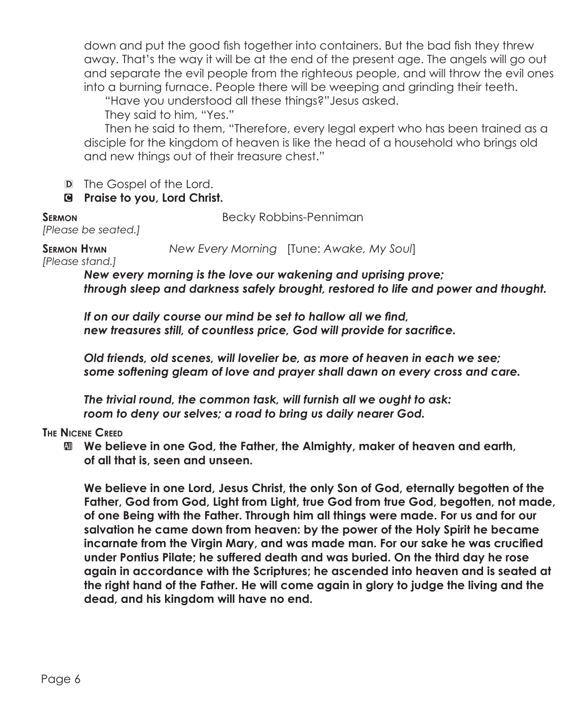down and put the good fish together into containers. But the bad fish they threw away. That's the way it will be at the end of the present age. The angels will go out and separate the evil people from the righteous people, and will throw the evil ones into a burning furnace. People there will be weeping and grinding their teeth.

"Have you understood all these things?"Jesus asked.

They said to him, "Yes."

Then he said to them, "Therefore, every legal expert who has been trained as a disciple for the kingdom of heaven is like the head of a household who brings old and new things out of their treasure chest."

D The Gospel of the Lord.

# C **Praise to you, Lord Christ.**

**SERMON** Becky Robbins-Penniman

*[Please be seated.]*

**Sermon Hymn** *New Every Morning* [Tune: *Awake, My Soul*]

*[Please stand.]*

*New every morning is the love our wakening and uprising prove; through sleep and darkness safely brought, restored to life and power and thought.*

*If on our daily course our mind be set to hallow all we find, new treasures still, of countless price, God will provide for sacrifice.*

*Old friends, old scenes, will lovelier be, as more of heaven in each we see; some softening gleam of love and prayer shall dawn on every cross and care.*

*The trivial round, the common task, will furnish all we ought to ask: room to deny our selves; a road to bring us daily nearer God.*

## **The Nicene Creed**

 $\mathbf{M}$  **We believe in one God, the Father, the Almighty, maker of heaven and earth, of all that is, seen and unseen.**

 **We believe in one Lord, Jesus Christ, the only Son of God, eternally begotten of the Father, God from God, Light from Light, true God from true God, begotten, not made, of one Being with the Father. Through him all things were made. For us and for our salvation he came down from heaven: by the power of the Holy Spirit he became incarnate from the Virgin Mary, and was made man. For our sake he was crucified under Pontius Pilate; he suffered death and was buried. On the third day he rose again in accordance with the Scriptures; he ascended into heaven and is seated at the right hand of the Father. He will come again in glory to judge the living and the dead, and his kingdom will have no end.**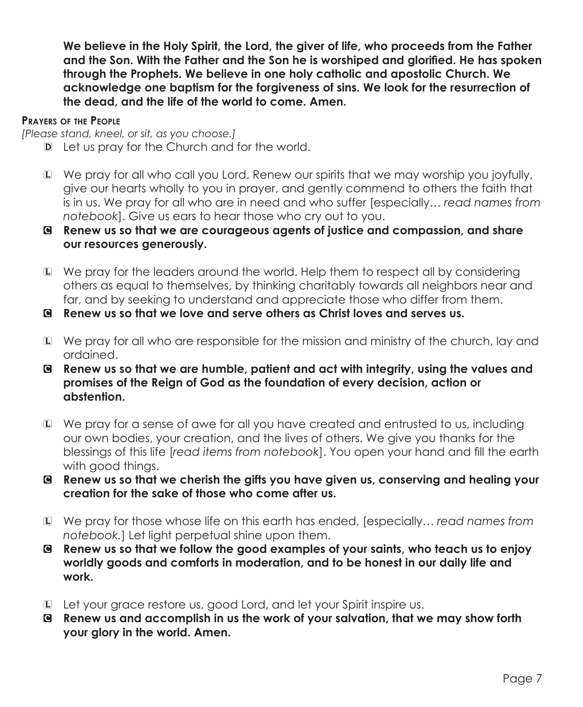**We believe in the Holy Spirit, the Lord, the giver of life, who proceeds from the Father and the Son. With the Father and the Son he is worshiped and glorified. He has spoken through the Prophets. We believe in one holy catholic and apostolic Church. We acknowledge one baptism for the forgiveness of sins. We look for the resurrection of the dead, and the life of the world to come. Amen.**

#### **Prayers of the People**

*[Please stand, kneel, or sit, as you choose.]*

- D Let us pray for the Church and for the world.
- L We pray for all who call you Lord. Renew our spirits that we may worship you joyfully, give our hearts wholly to you in prayer, and gently commend to others the faith that is in us. We pray for all who are in need and who suffer [especially… *read names from notebook*]. Give us ears to hear those who cry out to you.
- C **Renew us so that we are courageous agents of justice and compassion, and share our resources generously.**
- L We pray for the leaders around the world. Help them to respect all by considering others as equal to themselves, by thinking charitably towards all neighbors near and far, and by seeking to understand and appreciate those who differ from them.
- C **Renew us so that we love and serve others as Christ loves and serves us.**
- L We pray for all who are responsible for the mission and ministry of the church, lay and ordained.
- C **Renew us so that we are humble, patient and act with integrity, using the values and promises of the Reign of God as the foundation of every decision, action or abstention.**
- L We pray for a sense of awe for all you have created and entrusted to us, including our own bodies, your creation, and the lives of others. We give you thanks for the blessings of this life [*read items from notebook*]. You open your hand and fill the earth with good things.
- C **Renew us so that we cherish the gifts you have given us, conserving and healing your creation for the sake of those who come after us.**
- L We pray for those whose life on this earth has ended, [especially… *read names from notebook.*] Let light perpetual shine upon them.
- C **Renew us so that we follow the good examples of your saints, who teach us to enjoy worldly goods and comforts in moderation, and to be honest in our daily life and work.**
- L Let your grace restore us, good Lord, and let your Spirit inspire us.
- C **Renew us and accomplish in us the work of your salvation, that we may show forth your glory in the world. Amen.**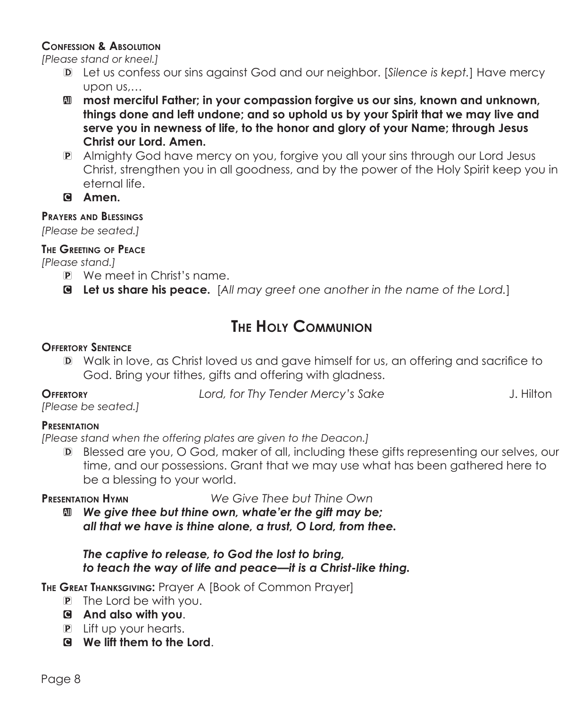## **Confession & Absolution**

*[Please stand or kneel.]*

- D Let us confess our sins against God and our neighbor. [*Silence is kept.*] Have mercy upon us,…
- **M** most merciful Father; in your compassion forgive us our sins, known and unknown, **things done and left undone; and so uphold us by your Spirit that we may live and serve you in newness of life, to the honor and glory of your Name; through Jesus Christ our Lord. Amen.**
- P Almighty God have mercy on you, forgive you all your sins through our Lord Jesus Christ, strengthen you in all goodness, and by the power of the Holy Spirit keep you in eternal life.
- C **Amen.**

# **Prayers and Blessings**

*[Please be seated.]*

# **The Greeting of Peace**

*[Please stand.]*

- P We meet in Christ's name.
- C **Let us share his peace.** [*All may greet one another in the name of the Lord.*]

# **The Holy Communion**

# **Offertory Sentence**

D Walk in love, as Christ loved us and gave himself for us, an offering and sacrifice to God. Bring your tithes, gifts and offering with gladness.

*[Please be seated.]*

**Offertory** *Lord, for Thy Tender Mercy's Sake* J. Hilton

## **Presentation**

*[Please stand when the offering plates are given to the Deacon.]*

D Blessed are you, O God, maker of all, including these gifts representing our selves, our time, and our possessions. Grant that we may use what has been gathered here to be a blessing to your world.

**Presentation Hymn** *We Give Thee but Thine Own*

a *We give thee but thine own, whate'er the gift may be; all that we have is thine alone, a trust, O Lord, from thee.*

## *The captive to release, to God the lost to bring, to teach the way of life and peace—it is a Christ-like thing.*

**The Great Thanksgiving:** Prayer A [Book of Common Prayer]

- P The Lord be with you.
- C **And also with you**.
- P Lift up your hearts.
- C **We lift them to the Lord**.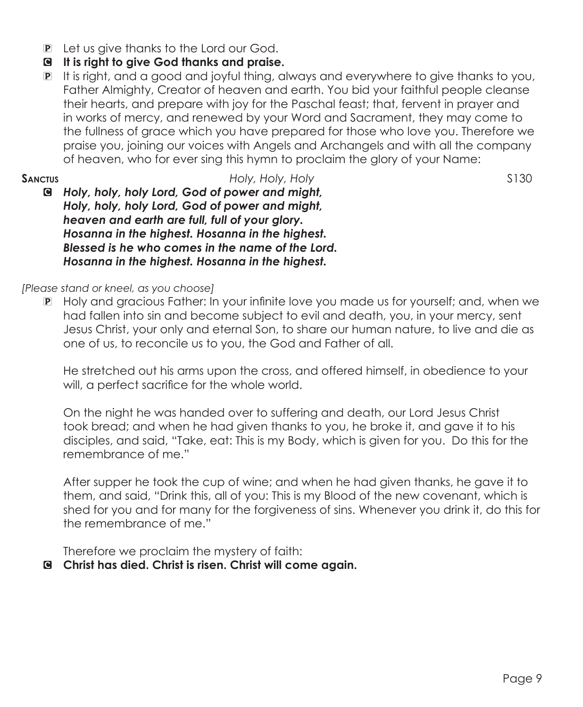- P Let us give thanks to the Lord our God.
- C **It is right to give God thanks and praise.**
- P It is right, and a good and joyful thing, always and everywhere to give thanks to you, Father Almighty, Creator of heaven and earth. You bid your faithful people cleanse their hearts, and prepare with joy for the Paschal feast; that, fervent in prayer and in works of mercy, and renewed by your Word and Sacrament, they may come to the fullness of grace which you have prepared for those who love you. Therefore we praise you, joining our voices with Angels and Archangels and with all the company of heaven, who for ever sing this hymn to proclaim the glory of your Name:
- **SANCTUS SANCTUS** *Holy, Holy, Holy S130* C *Holy, holy, holy Lord, God of power and might, Holy, holy, holy Lord, God of power and might, heaven and earth are full, full of your glory. Hosanna in the highest. Hosanna in the highest. Blessed is he who comes in the name of the Lord. Hosanna in the highest. Hosanna in the highest.*

## *[Please stand or kneel, as you choose]*

P Holy and gracious Father: In your infinite love you made us for yourself; and, when we had fallen into sin and become subject to evil and death, you, in your mercy, sent Jesus Christ, your only and eternal Son, to share our human nature, to live and die as one of us, to reconcile us to you, the God and Father of all.

 He stretched out his arms upon the cross, and offered himself, in obedience to your will, a perfect sacrifice for the whole world.

 On the night he was handed over to suffering and death, our Lord Jesus Christ took bread; and when he had given thanks to you, he broke it, and gave it to his disciples, and said, "Take, eat: This is my Body, which is given for you. Do this for the remembrance of me."

After supper he took the cup of wine; and when he had given thanks, he gave it to them, and said, "Drink this, all of you: This is my Blood of the new covenant, which is shed for you and for many for the forgiveness of sins. Whenever you drink it, do this for the remembrance of me."

Therefore we proclaim the mystery of faith:

# C **Christ has died. Christ is risen. Christ will come again.**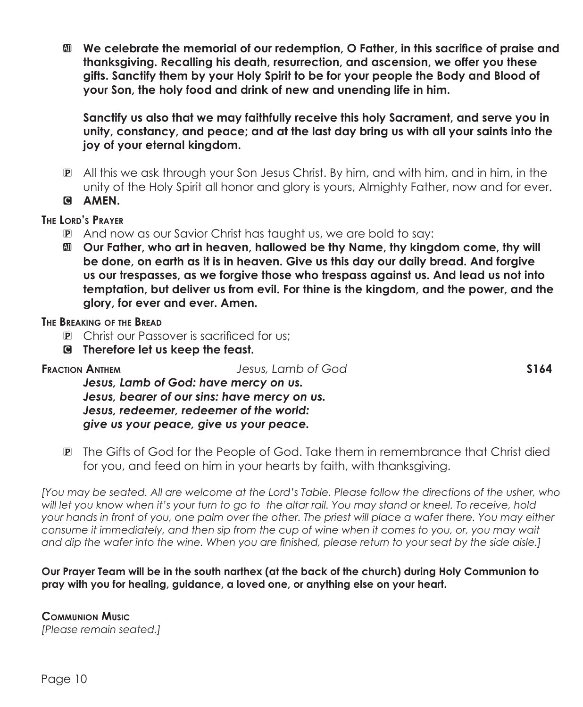a **We celebrate the memorial of our redemption, O Father, in this sacrifice of praise and thanksgiving. Recalling his death, resurrection, and ascension, we offer you these gifts. Sanctify them by your Holy Spirit to be for your people the Body and Blood of your Son, the holy food and drink of new and unending life in him.** 

 **Sanctify us also that we may faithfully receive this holy Sacrament, and serve you in unity, constancy, and peace; and at the last day bring us with all your saints into the joy of your eternal kingdom.** 

P All this we ask through your Son Jesus Christ. By him, and with him, and in him, in the unity of the Holy Spirit all honor and glory is yours, Almighty Father, now and for ever.

C **AMEN.**

**The Lord's Prayer**

- P And now as our Savior Christ has taught us, we are bold to say:
- a **Our Father, who art in heaven, hallowed be thy Name, thy kingdom come, thy will be done, on earth as it is in heaven. Give us this day our daily bread. And forgive us our trespasses, as we forgive those who trespass against us. And lead us not into temptation, but deliver us from evil. For thine is the kingdom, and the power, and the glory, for ever and ever. Amen.**

**The Breaking of the Bread**

- P Christ our Passover is sacrificed for us;
- C **Therefore let us keep the feast.**

**Fraction Anthem** *Jesus, Lamb of God* **S164**

*Jesus, Lamb of God: have mercy on us. Jesus, bearer of our sins: have mercy on us. Jesus, redeemer, redeemer of the world: give us your peace, give us your peace.*

P The Gifts of God for the People of God. Take them in remembrance that Christ died for you, and feed on him in your hearts by faith, with thanksgiving.

*[You may be seated. All are welcome at the Lord's Table. Please follow the directions of the usher, who will let you know when it's your turn to go to the altar rail. You may stand or kneel. To receive, hold your hands in front of you, one palm over the other. The priest will place a wafer there. You may either consume it immediately, and then sip from the cup of wine when it comes to you, or, you may wait and dip the wafer into the wine. When you are finished, please return to your seat by the side aisle.]*

**Our Prayer Team will be in the south narthex (at the back of the church) during Holy Communion to pray with you for healing, guidance, a loved one, or anything else on your heart.** 

**Communion Music** *[Please remain seated.]*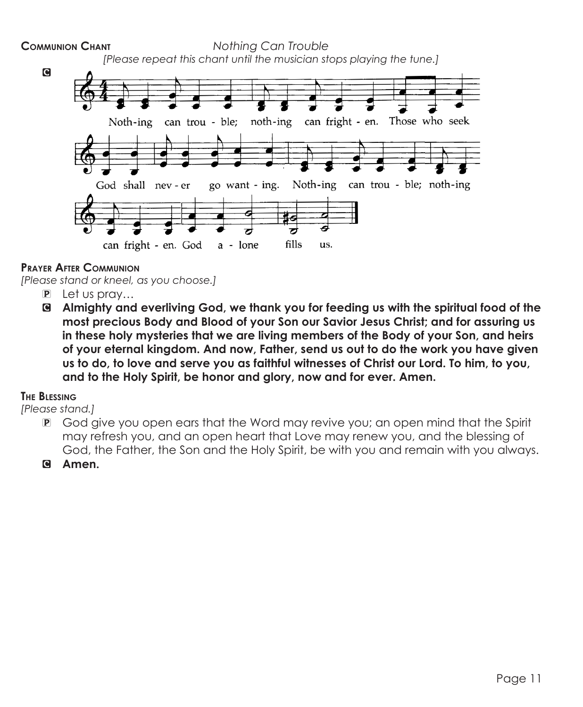

### **Prayer After Communion**

*[Please stand or kneel, as you choose.]*

- P Let us pray…
- C **Almighty and everliving God, we thank you for feeding us with the spiritual food of the most precious Body and Blood of your Son our Savior Jesus Christ; and for assuring us in these holy mysteries that we are living members of the Body of your Son, and heirs of your eternal kingdom. And now, Father, send us out to do the work you have given us to do, to love and serve you as faithful witnesses of Christ our Lord. To him, to you, and to the Holy Spirit, be honor and glory, now and for ever. Amen.**

#### **The Blessing**

*[Please stand.]*

- P God give you open ears that the Word may revive you; an open mind that the Spirit may refresh you, and an open heart that Love may renew you, and the blessing of God, the Father, the Son and the Holy Spirit, be with you and remain with you always.
- C **Amen.**